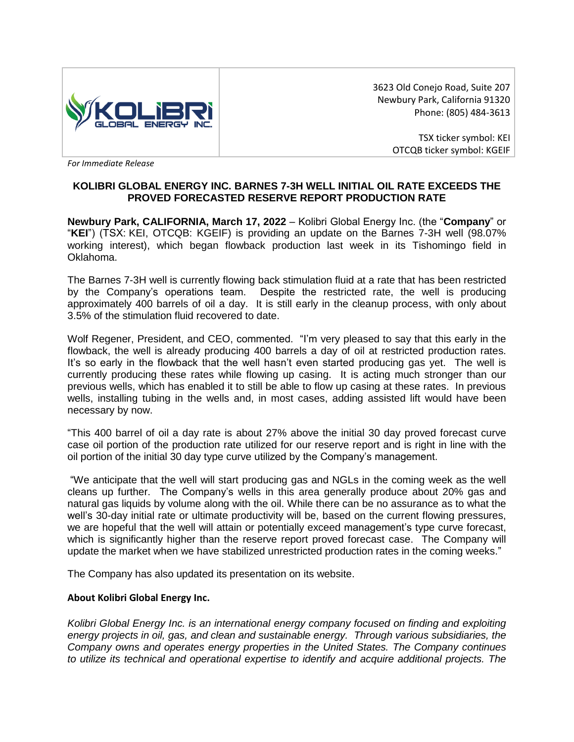

3623 Old Conejo Road, Suite 207 Newbury Park, California 91320 Phone: (805) 484-3613

> TSX ticker symbol: KEI OTCQB ticker symbol: KGEIF

*For Immediate Release* 

## **KOLIBRI GLOBAL ENERGY INC. BARNES 7-3H WELL INITIAL OIL RATE EXCEEDS THE PROVED FORECASTED RESERVE REPORT PRODUCTION RATE**

**Newbury Park, CALIFORNIA, March 17, 2022** – Kolibri Global Energy Inc. (the "**Company**" or "**KEI**") (TSX: KEI, OTCQB: KGEIF) is providing an update on the Barnes 7-3H well (98.07% working interest), which began flowback production last week in its Tishomingo field in Oklahoma.

The Barnes 7-3H well is currently flowing back stimulation fluid at a rate that has been restricted by the Company's operations team. Despite the restricted rate, the well is producing approximately 400 barrels of oil a day. It is still early in the cleanup process, with only about 3.5% of the stimulation fluid recovered to date.

Wolf Regener, President, and CEO, commented. "I'm very pleased to say that this early in the flowback, the well is already producing 400 barrels a day of oil at restricted production rates. It's so early in the flowback that the well hasn't even started producing gas yet. The well is currently producing these rates while flowing up casing. It is acting much stronger than our previous wells, which has enabled it to still be able to flow up casing at these rates. In previous wells, installing tubing in the wells and, in most cases, adding assisted lift would have been necessary by now.

"This 400 barrel of oil a day rate is about 27% above the initial 30 day proved forecast curve case oil portion of the production rate utilized for our reserve report and is right in line with the oil portion of the initial 30 day type curve utilized by the Company's management.

"We anticipate that the well will start producing gas and NGLs in the coming week as the well cleans up further. The Company's wells in this area generally produce about 20% gas and natural gas liquids by volume along with the oil. While there can be no assurance as to what the well's 30-day initial rate or ultimate productivity will be, based on the current flowing pressures, we are hopeful that the well will attain or potentially exceed management's type curve forecast, which is significantly higher than the reserve report proved forecast case. The Company will update the market when we have stabilized unrestricted production rates in the coming weeks."

The Company has also updated its presentation on its website.

# **About Kolibri Global Energy Inc.**

*Kolibri Global Energy Inc. is an international energy company focused on finding and exploiting energy projects in oil, gas, and clean and sustainable energy. Through various subsidiaries, the Company owns and operates energy properties in the United States. The Company continues to utilize its technical and operational expertise to identify and acquire additional projects. The*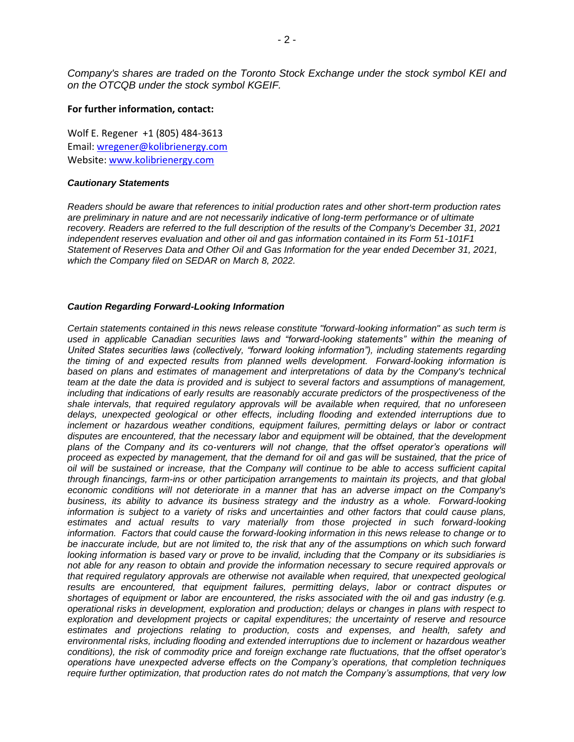*Company's shares are traded on the Toronto Stock Exchange under the stock symbol KEI and on the OTCQB under the stock symbol KGEIF.*

## **For further information, contact:**

Wolf E. Regener +1 (805) 484-3613 Email: [wregener@kolibrienergy.com](mailto:wregener@kolibrienergy.com) Website: [www.kolibrienergy.com](http://www.kolibrienergy.com/)

### *Cautionary Statements*

*Readers should be aware that references to initial production rates and other short-term production rates are preliminary in nature and are not necessarily indicative of long-term performance or of ultimate recovery. Readers are referred to the full description of the results of the Company's December 31, 2021 independent reserves evaluation and other oil and gas information contained in its Form 51-101F1 Statement of Reserves Data and Other Oil and Gas Information for the year ended December 31, 2021, which the Company filed on SEDAR on March 8, 2022.* 

### *Caution Regarding Forward-Looking Information*

*Certain statements contained in this news release constitute "forward-looking information" as such term is used in applicable Canadian securities laws and "forward-looking statements" within the meaning of United States securities laws (collectively, "forward looking information"), including statements regarding the timing of and expected results from planned wells development. Forward-looking information is*  based on plans and estimates of management and interpretations of data by the Company's technical *team at the date the data is provided and is subject to several factors and assumptions of management, including that indications of early results are reasonably accurate predictors of the prospectiveness of the shale intervals, that required regulatory approvals will be available when required, that no unforeseen delays, unexpected geological or other effects, including flooding and extended interruptions due to inclement or hazardous weather conditions, equipment failures, permitting delays or labor or contract disputes are encountered, that the necessary labor and equipment will be obtained, that the development*  plans of the Company and its co-venturers will not change, that the offset operator's operations will *proceed as expected by management, that the demand for oil and gas will be sustained, that the price of oil will be sustained or increase, that the Company will continue to be able to access sufficient capital through financings, farm-ins or other participation arrangements to maintain its projects, and that global economic conditions will not deteriorate in a manner that has an adverse impact on the Company's business, its ability to advance its business strategy and the industry as a whole. Forward-looking information is subject to a variety of risks and uncertainties and other factors that could cause plans,*  estimates and actual results to vary materially from those projected in such forward-looking *information. Factors that could cause the forward-looking information in this news release to change or to be inaccurate include, but are not limited to, the risk that any of the assumptions on which such forward looking information is based vary or prove to be invalid, including that the Company or its subsidiaries is not able for any reason to obtain and provide the information necessary to secure required approvals or that required regulatory approvals are otherwise not available when required, that unexpected geological results are encountered, that equipment failures, permitting delays, labor or contract disputes or shortages of equipment or labor are encountered, the risks associated with the oil and gas industry (e.g. operational risks in development, exploration and production; delays or changes in plans with respect to exploration and development projects or capital expenditures; the uncertainty of reserve and resource estimates and projections relating to production, costs and expenses, and health, safety and environmental risks, including flooding and extended interruptions due to inclement or hazardous weather conditions), the risk of commodity price and foreign exchange rate fluctuations, that the offset operator's operations have unexpected adverse effects on the Company's operations, that completion techniques require further optimization, that production rates do not match the Company's assumptions, that very low*